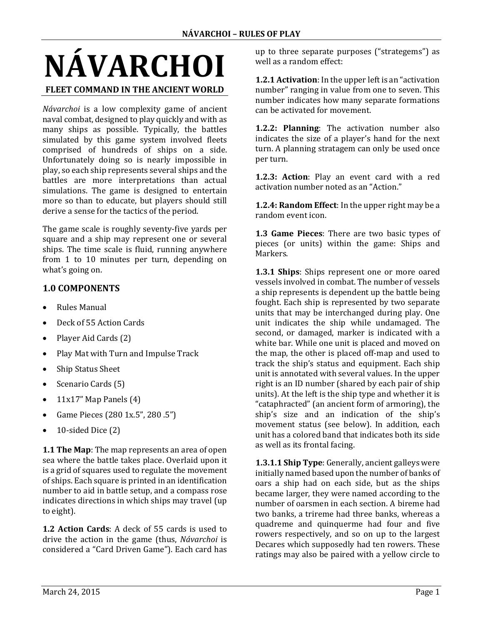# **NÁVARCHOI**

#### **FLEET COMMAND IN THE ANCIENT WORLD**

*Návarchoi* is a low complexity game of ancient naval combat, designed to play quickly and with as many ships as possible. Typically, the battles simulated by this game system involved fleets comprised of hundreds of ships on a side. Unfortunately doing so is nearly impossible in play, so each ship represents several ships and the battles are more interpretations than actual simulations. The game is designed to entertain more so than to educate, but players should still derive a sense for the tactics of the period.

The game scale is roughly seventy-five yards per square and a ship may represent one or several ships. The time scale is fluid, running anywhere from 1 to 10 minutes per turn, depending on what's going on.

## **1.0 COMPONENTS**

- Rules Manual
- Deck of 55 Action Cards
- Player Aid Cards (2)
- Play Mat with Turn and Impulse Track
- Ship Status Sheet
- Scenario Cards (5)
- $11x17$ " Map Panels  $(4)$
- Game Pieces  $(280 \, 1x.5"$ ,  $280 \, .5"$ )
- $\bullet$  10-sided Dice (2)

**1.1 The Map**: The map represents an area of open sea where the battle takes place. Overlaid upon it is a grid of squares used to regulate the movement of ships. Each square is printed in an identification number to aid in battle setup, and a compass rose indicates directions in which ships may travel (up to eight).

**1.2 Action Cards:** A deck of 55 cards is used to drive the action in the game (thus, *Návarchoi* is considered a "Card Driven Game"). Each card has up to three separate purposes ("strategems") as well as a random effect:

**1.2.1 Activation**: In the upper left is an "activation" number" ranging in value from one to seven. This number indicates how many separate formations can be activated for movement. 

**1.2.2: Planning:** The activation number also indicates the size of a player's hand for the next turn. A planning stratagem can only be used once per turn.

**1.2.3: Action**: Play an event card with a red activation number noted as an "Action."

**1.2.4: Random Effect:** In the upper right may be a random event icon.

**1.3 Game Pieces**: There are two basic types of pieces (or units) within the game: Ships and Markers. 

**1.3.1 Ships**: Ships represent one or more oared vessels involved in combat. The number of vessels a ship represents is dependent up the battle being fought. Each ship is represented by two separate units that may be interchanged during play. One unit indicates the ship while undamaged. The second, or damaged, marker is indicated with a white bar. While one unit is placed and moved on the map, the other is placed off-map and used to track the ship's status and equipment. Each ship unit is annotated with several values. In the upper right is an ID number (shared by each pair of ship units). At the left is the ship type and whether it is "cataphracted" (an ancient form of armoring), the ship's size and an indication of the ship's movement status (see below). In addition, each unit has a colored band that indicates both its side as well as its frontal facing.

**1.3.1.1 Ship Type**: Generally, ancient galleys were initially named based upon the number of banks of oars a ship had on each side, but as the ships became larger, they were named according to the number of oarsmen in each section. A bireme had two banks, a trireme had three banks, whereas a quadreme and quinquerme had four and five rowers respectively, and so on up to the largest Decares which supposedly had ten rowers. These ratings may also be paired with a yellow circle to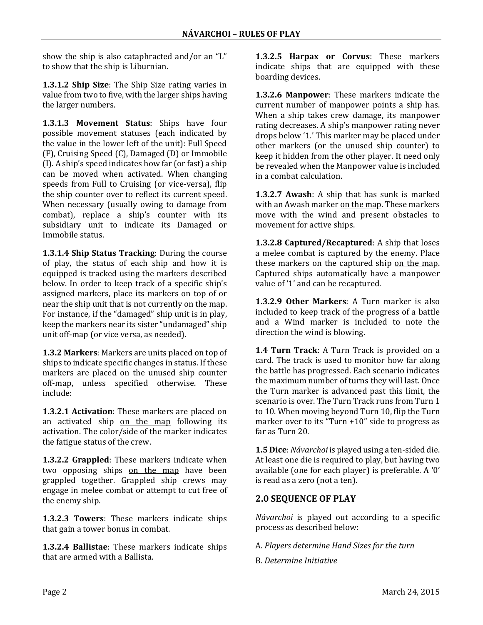show the ship is also cataphracted and/or an "L" to show that the ship is Liburnian.

**1.3.1.2 Ship Size:** The Ship Size rating varies in value from two to five, with the larger ships having the larger numbers.

**1.3.1.3 Movement Status**: Ships have four possible movement statuses (each indicated by the value in the lower left of the unit): Full Speed  $(F)$ , Cruising Speed  $(C)$ , Damaged  $(D)$  or Immobile  $(I)$ . A ship's speed indicates how far (or fast) a ship can be moved when activated. When changing speeds from Full to Cruising (or vice-versa), flip the ship counter over to reflect its current speed. When necessary (usually owing to damage from combat), replace a ship's counter with its subsidiary unit to indicate its Damaged or Immobile status. 

**1.3.1.4 Ship Status Tracking:** During the course of play, the status of each ship and how it is equipped is tracked using the markers described below. In order to keep track of a specific ship's assigned markers, place its markers on top of or near the ship unit that is not currently on the map. For instance, if the "damaged" ship unit is in play, keep the markers near its sister "undamaged" ship unit off-map (or vice versa, as needed).

**1.3.2 Markers:** Markers are units placed on top of ships to indicate specific changes in status. If these markers are placed on the unused ship counter off-map, unless specified otherwise. These include: 

**1.3.2.1 Activation**: These markers are placed on an activated ship on the map following its activation. The color/side of the marker indicates the fatigue status of the crew.

**1.3.2.2 Grappled**: These markers indicate when two opposing ships on the map have been grappled together. Grappled ship crews may engage in melee combat or attempt to cut free of the enemy ship.

**1.3.2.3 Towers:** These markers indicate ships that gain a tower bonus in combat.

**1.3.2.4 Ballistae**: These markers indicate ships that are armed with a Ballista.

**1.3.2.5 Harpax or Corvus**: These markers indicate ships that are equipped with these boarding devices.

**1.3.2.6 Manpower:** These markers indicate the current number of manpower points a ship has. When a ship takes crew damage, its manpower rating decreases. A ship's manpower rating never drops below '1.' This marker may be placed under other markers (or the unused ship counter) to keep it hidden from the other player. It need only be revealed when the Manpower value is included in a combat calculation.

**1.3.2.7 Awash:** A ship that has sunk is marked with an Awash marker on the map. These markers move with the wind and present obstacles to movement for active ships.

**1.3.2.8 Captured/Recaptured:** A ship that loses a melee combat is captured by the enemy. Place these markers on the captured ship on the map. Captured ships automatically have a manpower value of '1' and can be recaptured.

**1.3.2.9 Other Markers:** A Turn marker is also included to keep track of the progress of a battle and a Wind marker is included to note the direction the wind is blowing.

**1.4 Turn Track:** A Turn Track is provided on a card. The track is used to monitor how far along the battle has progressed. Each scenario indicates the maximum number of turns they will last. Once the Turn marker is advanced past this limit, the scenario is over. The Turn Track runs from Turn 1 to 10. When moving beyond Turn 10, flip the Turn marker over to its "Turn  $+10$ " side to progress as far as Turn 20.

**1.5 Dice**: *Návarchoi* is played using a ten-sided die. At least one die is required to play, but having two available (one for each player) is preferable. A '0' is read as a zero (not a ten).

# **2.0 SEQUENCE OF PLAY**

*Návarchoi* is played out according to a specific process as described below:

A. *Players determine Hand Sizes for the turn*

B. *Determine Initiative*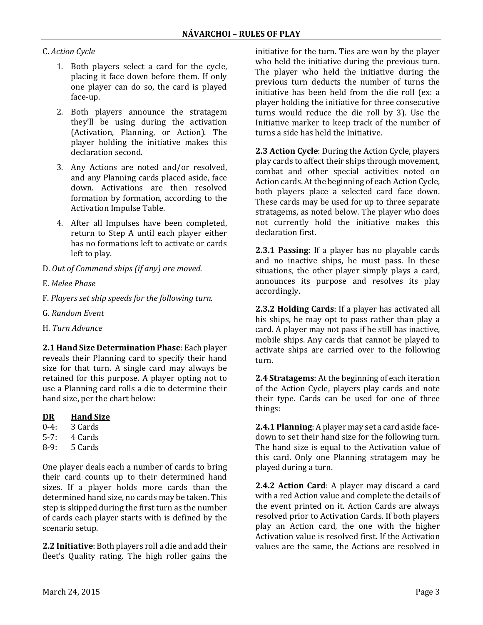#### C. *Action Cycle*

- 1. Both players select a card for the cycle. placing it face down before them. If only one player can do so, the card is played face‐up.
- 2. Both players announce the stratagem they'll be using during the activation (Activation, Planning, or Action). The player holding the initiative makes this declaration second.
- 3. Any Actions are noted and/or resolved, and any Planning cards placed aside, face down. Activations are then resolved formation by formation, according to the Activation Impulse Table.
- 4. After all Impulses have been completed, return to Step A until each player either has no formations left to activate or cards left to play.
- D. *Out of Command ships (if any) are moved.*
- E. *Melee Phase*
- F. *Players set ship speeds for the following turn.*
- G. *Random Event*
- H. *Turn Advance*

**2.1 Hand Size Determination Phase**: Each player reveals their Planning card to specify their hand size for that turn. A single card may always be retained for this purpose. A player opting not to use a Planning card rolls a die to determine their hand size, per the chart below:

|  | Hand Size |
|--|-----------|
|--|-----------|

- 0‐4: 3 Cards
- 5‐7: 4 Cards
- 8‐9: 5 Cards

One player deals each a number of cards to bring their card counts up to their determined hand sizes. If a player holds more cards than the determined hand size, no cards may be taken. This step is skipped during the first turn as the number of cards each player starts with is defined by the scenario setup.

**2.2 Initiative**: Both players roll a die and add their fleet's Quality rating. The high roller gains the initiative for the turn. Ties are won by the player who held the initiative during the previous turn. The player who held the initiative during the previous turn deducts the number of turns the initiative has been held from the die roll (ex: a player holding the initiative for three consecutive turns would reduce the die roll by 3). Use the Initiative marker to keep track of the number of turns a side has held the Initiative.

**2.3 Action Cycle**: During the Action Cycle, players play cards to affect their ships through movement, combat and other special activities noted on Action cards. At the beginning of each Action Cycle, both players place a selected card face down. These cards may be used for up to three separate stratagems, as noted below. The player who does not currently hold the initiative makes this declaration first.

**2.3.1 Passing**: If a player has no playable cards and no inactive ships, he must pass. In these situations, the other player simply plays a card, announces its purpose and resolves its play accordingly. 

**2.3.2 Holding Cards:** If a player has activated all his ships, he may opt to pass rather than play a card. A player may not pass if he still has inactive, mobile ships. Any cards that cannot be played to activate ships are carried over to the following turn. 

**2.4 Stratagems:** At the beginning of each iteration of the Action Cycle, players play cards and note their type. Cards can be used for one of three things: 

**2.4.1 Planning**: A player may set a card aside facedown to set their hand size for the following turn. The hand size is equal to the Activation value of this card. Only one Planning stratagem may be played during a turn.

**2.4.2 Action Card:** A player may discard a card with a red Action value and complete the details of the event printed on it. Action Cards are always resolved prior to Activation Cards. If both players play an Action card, the one with the higher Activation value is resolved first. If the Activation values are the same, the Actions are resolved in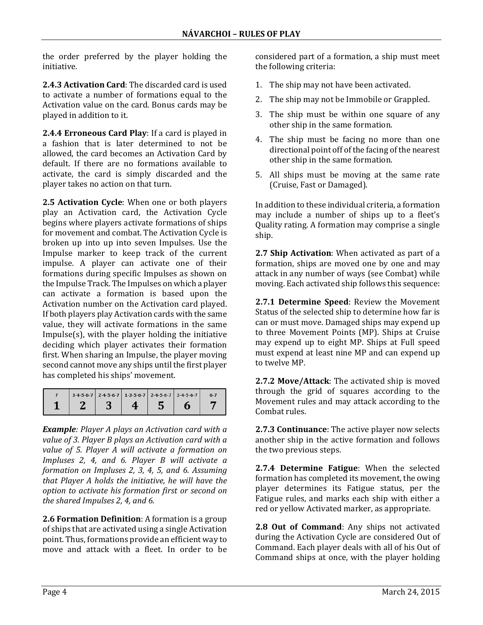the order preferred by the player holding the initiative. 

**2.4.3 Activation Card:** The discarded card is used to activate a number of formations equal to the Activation value on the card. Bonus cards may be played in addition to it.

**2.4.4 Erroneous Card Play:** If a card is played in a fashion that is later determined to not be allowed, the card becomes an Activation Card by default. If there are no formations available to activate, the card is simply discarded and the player takes no action on that turn.

**2.5 Activation Cycle:** When one or both players play an Activation card, the Activation Cycle begins where players activate formations of ships for movement and combat. The Activation Cycle is broken up into up into seven Impulses. Use the Impulse marker to keep track of the current impulse. A player can activate one of their formations during specific Impulses as shown on the Impulse Track. The Impulses on which a player can activate a formation is based upon the Activation number on the Activation card played. If both players play Activation cards with the same value, they will activate formations in the same  $Impulse(s)$ , with the player holding the initiative deciding which player activates their formation first. When sharing an Impulse, the player moving second cannot move any ships until the first player has completed his ships' movement.

|  | $3-4-5-6-7$ 2-4-5-6-7 1-3-5-6-7 2-4-5-6-7 3-4-5-6-7 |  | $6 - 7$ |
|--|-----------------------------------------------------|--|---------|
|  |                                                     |  |         |

*Example: Player A plays an Activation card with a value of 3. Player B plays an Activation card with a value of 5. Player A will activate a formation on Impluses 2, 4, and 6. Player B will activate a formation on Impluses 2, 3, 4, 5, and 6. Assuming that Player A holds the initiative, he will have the option to activate his formation first or second on the shared Impulses 2, 4, and 6.*

**2.6 Formation Definition**: A formation is a group of ships that are activated using a single Activation point. Thus, formations provide an efficient way to move and attack with a fleet. In order to be considered part of a formation, a ship must meet the following criteria:

- 1. The ship may not have been activated.
- 2. The ship may not be Immobile or Grappled.
- 3. The ship must be within one square of any other ship in the same formation.
- 4. The ship must be facing no more than one directional point off of the facing of the nearest other ship in the same formation.
- 5. All ships must be moving at the same rate (Cruise, Fast or Damaged).

In addition to these individual criteria, a formation may include a number of ships up to a fleet's Quality rating. A formation may comprise a single ship. 

**2.7 Ship Activation**: When activated as part of a formation, ships are moved one by one and may attack in any number of ways (see Combat) while moving. Each activated ship follows this sequence:

**2.7.1 Determine Speed:** Review the Movement Status of the selected ship to determine how far is can or must move. Damaged ships may expend up to three Movement Points (MP). Ships at Cruise may expend up to eight MP. Ships at Full speed must expend at least nine MP and can expend up to twelve MP.

**2.7.2 Move/Attack:** The activated ship is moved through the grid of squares according to the Movement rules and may attack according to the Combat rules.

**2.7.3 Continuance:** The active player now selects another ship in the active formation and follows the two previous steps.

**2.7.4 Determine Fatigue:** When the selected formation has completed its movement, the owing player determines its Fatigue status, per the Fatigue rules, and marks each ship with either a red or yellow Activated marker, as appropriate.

**2.8 Out of Command**: Any ships not activated during the Activation Cycle are considered Out of Command. Each player deals with all of his Out of Command ships at once, with the player holding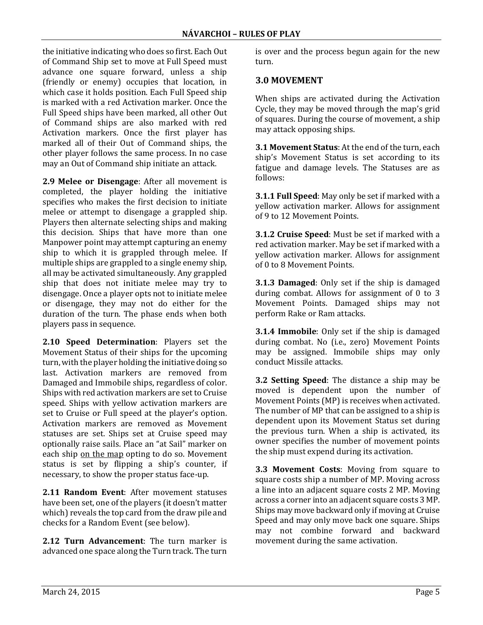the initiative indicating who does so first. Each Out of Command Ship set to move at Full Speed must advance one square forward, unless a ship (friendly or enemy) occupies that location, in which case it holds position. Each Full Speed ship is marked with a red Activation marker. Once the Full Speed ships have been marked, all other Out of Command ships are also marked with red Activation markers. Once the first player has marked all of their Out of Command ships, the other player follows the same process. In no case may an Out of Command ship initiate an attack.

**2.9 Melee or Disengage**: After all movement is completed, the player holding the initiative specifies who makes the first decision to initiate melee or attempt to disengage a grappled ship. Players then alternate selecting ships and making this decision. Ships that have more than one Manpower point may attempt capturing an enemy ship to which it is grappled through melee. If multiple ships are grappled to a single enemy ship, all may be activated simultaneously. Any grappled ship that does not initiate melee may try to disengage. Once a player opts not to initiate melee or disengage, they may not do either for the duration of the turn. The phase ends when both players pass in sequence.

**2.10 Speed Determination**: Players set the Movement Status of their ships for the upcoming turn, with the player holding the initiative doing so last. Activation markers are removed from Damaged and Immobile ships, regardless of color. Ships with red activation markers are set to Cruise speed. Ships with yellow activation markers are set to Cruise or Full speed at the player's option. Activation markers are removed as Movement statuses are set. Ships set at Cruise speed may optionally raise sails. Place an "at Sail" marker on each ship on the map opting to do so. Movement status is set by flipping a ship's counter, if necessary, to show the proper status face-up.

**2.11 Random Event:** After movement statuses have been set, one of the players (it doesn't matter which) reveals the top card from the draw pile and checks for a Random Event (see below).

**2.12 Turn Advancement**: The turn marker is advanced one space along the Turn track. The turn is over and the process begun again for the new turn. 

#### **3.0 MOVEMENT**

When ships are activated during the Activation Cycle, they may be moved through the map's grid of squares. During the course of movement, a ship may attack opposing ships.

**3.1 Movement Status:** At the end of the turn, each ship's Movement Status is set according to its fatigue and damage levels. The Statuses are as follows: 

**3.1.1 Full Speed**: May only be set if marked with a yellow activation marker. Allows for assignment of 9 to 12 Movement Points.

**3.1.2 Cruise Speed**: Must be set if marked with a red activation marker. May be set if marked with a yellow activation marker. Allows for assignment of 0 to 8 Movement Points.

**3.1.3 Damaged:** Only set if the ship is damaged during combat. Allows for assignment of  $0$  to  $3$ Movement Points. Damaged ships may not perform Rake or Ram attacks.

**3.1.4 Immobile**: Only set if the ship is damaged during combat. No (i.e., zero) Movement Points may be assigned. Immobile ships may only conduct Missile attacks. 

**3.2 Setting Speed**: The distance a ship may be moved is dependent upon the number of Movement Points (MP) is receives when activated. The number of MP that can be assigned to a ship is dependent upon its Movement Status set during the previous turn. When a ship is activated, its owner specifies the number of movement points the ship must expend during its activation.

**3.3 Movement Costs:** Moving from square to square costs ship a number of MP. Moving across a line into an adjacent square costs 2 MP. Moving across a corner into an adjacent square costs 3 MP. Ships may move backward only if moving at Cruise Speed and may only move back one square. Ships may not combine forward and backward movement during the same activation.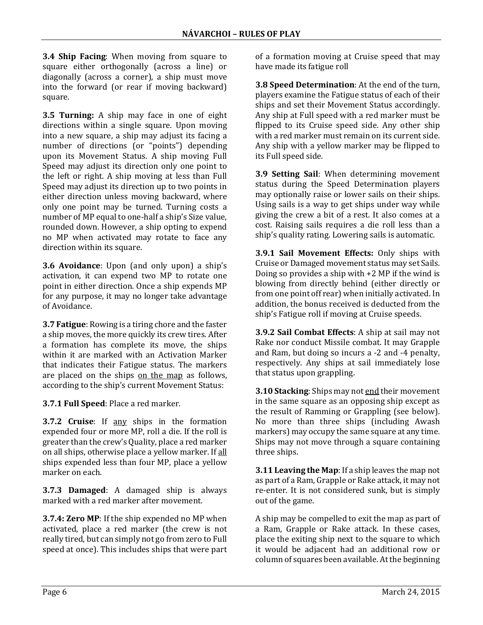**3.4 Ship Facing:** When moving from square to square either orthogonally (across a line) or diagonally (across a corner), a ship must move into the forward (or rear if moving backward) square. 

**3.5 Turning:** A ship may face in one of eight directions within a single square. Upon moving into a new square, a ship may adjust its facing a number of directions (or "points") depending upon its Movement Status. A ship moving Full Speed may adjust its direction only one point to the left or right. A ship moving at less than Full Speed may adjust its direction up to two points in either direction unless moving backward, where only one point may be turned. Turning costs a number of MP equal to one-half a ship's Size value, rounded down. However, a ship opting to expend no MP when activated may rotate to face any direction within its square.

**3.6 Avoidance**: Upon (and only upon) a ship's activation, it can expend two MP to rotate one point in either direction. Once a ship expends MP for any purpose, it may no longer take advantage of Avoidance.

**3.7 Fatigue**: Rowing is a tiring chore and the faster a ship moves, the more quickly its crew tires. After a formation has complete its move, the ships within it are marked with an Activation Marker that indicates their Fatigue status. The markers are placed on the ships on the map as follows, according to the ship's current Movement Status:

**3.7.1 Full Speed**: Place a red marker.

**3.7.2 Cruise**: If any ships in the formation expended four or more MP, roll a die. If the roll is greater than the crew's Quality, place a red marker on all ships, otherwise place a yellow marker. If all ships expended less than four MP, place a yellow marker on each.

**3.7.3 Damaged:** A damaged ship is always marked with a red marker after movement.

**3.7.4: Zero MP**: If the ship expended no MP when activated, place a red marker (the crew is not really tired, but can simply not go from zero to Full speed at once). This includes ships that were part of a formation moving at Cruise speed that may have made its fatigue roll

**3.8 Speed Determination:** At the end of the turn, players examine the Fatigue status of each of their ships and set their Movement Status accordingly. Any ship at Full speed with a red marker must be flipped to its Cruise speed side. Any other ship with a red marker must remain on its current side. Any ship with a yellow marker may be flipped to its Full speed side.

**3.9 Setting Sail:** When determining movement status during the Speed Determination players may optionally raise or lower sails on their ships. Using sails is a way to get ships under way while giving the crew a bit of a rest. It also comes at a cost. Raising sails requires a die roll less than a ship's quality rating. Lowering sails is automatic.

**3.9.1 Sail Movement Effects:** Only ships with Cruise or Damaged movement status may set Sails. Doing so provides a ship with  $+2$  MP if the wind is blowing from directly behind (either directly or from one point off rear) when initially activated. In addition, the bonus received is deducted from the ship's Fatigue roll if moving at Cruise speeds.

**3.9.2 Sail Combat Effects**: A ship at sail may not Rake nor conduct Missile combat. It may Grapple and Ram, but doing so incurs a -2 and -4 penalty, respectively. Any ships at sail immediately lose that status upon grappling.

**3.10 Stacking:** Ships may not end their movement in the same square as an opposing ship except as the result of Ramming or Grappling (see below). No more than three ships (including Awash markers) may occupy the same square at any time. Ships may not move through a square containing three ships.

**3.11 Leaving the Map**: If a ship leaves the map not as part of a Ram, Grapple or Rake attack, it may not re-enter. It is not considered sunk, but is simply out of the game.

A ship may be compelled to exit the map as part of a Ram, Grapple or Rake attack. In these cases, place the exiting ship next to the square to which it would be adjacent had an additional row or column of squares been available. At the beginning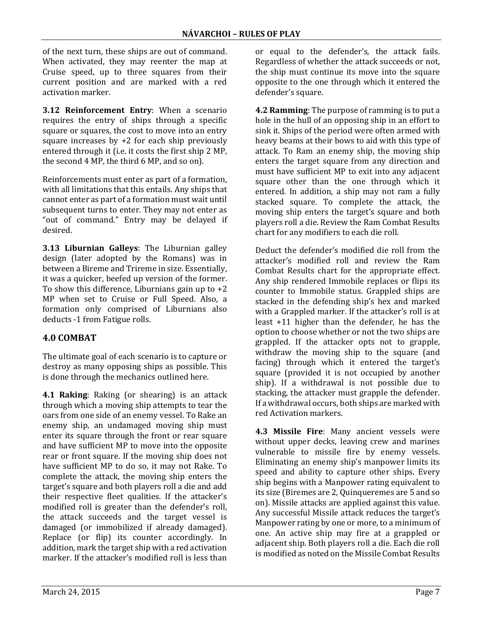of the next turn, these ships are out of command. When activated, they may reenter the map at Cruise speed, up to three squares from their current position and are marked with a red activation marker.

**3.12 Reinforcement Entry:** When a scenario requires the entry of ships through a specific square or squares, the cost to move into an entry square increases by  $+2$  for each ship previously entered through it (i.e. it costs the first ship 2 MP, the second 4 MP, the third 6 MP, and so on).

Reinforcements must enter as part of a formation, with all limitations that this entails. Any ships that cannot enter as part of a formation must wait until subsequent turns to enter. They may not enter as "out of command." Entry may be delayed if desired. 

**3.13 Liburnian Galleys:** The Liburnian galley design (later adopted by the Romans) was in between a Bireme and Trireme in size. Essentially, it was a quicker, beefed up version of the former. To show this difference, Liburnians gain up to  $+2$ MP when set to Cruise or Full Speed. Also, a formation only comprised of Liburnians also deducts -1 from Fatigue rolls.

# **4.0 COMBAT**

The ultimate goal of each scenario is to capture or destroy as many opposing ships as possible. This is done through the mechanics outlined here.

**4.1 Raking:** Raking (or shearing) is an attack through which a moving ship attempts to tear the oars from one side of an enemy vessel. To Rake an enemy ship, an undamaged moving ship must enter its square through the front or rear square and have sufficient MP to move into the opposite rear or front square. If the moving ship does not have sufficient MP to do so, it may not Rake. To complete the attack, the moving ship enters the target's square and both players roll a die and add their respective fleet qualities. If the attacker's modified roll is greater than the defender's roll, the attack succeeds and the target vessel is damaged (or immobilized if already damaged). Replace (or flip) its counter accordingly. In addition, mark the target ship with a red activation marker. If the attacker's modified roll is less than

or equal to the defender's, the attack fails. Regardless of whether the attack succeeds or not, the ship must continue its move into the square opposite to the one through which it entered the defender's square.

**4.2 Ramming:** The purpose of ramming is to put a hole in the hull of an opposing ship in an effort to sink it. Ships of the period were often armed with heavy beams at their bows to aid with this type of attack. To Ram an enemy ship, the moving ship enters the target square from any direction and must have sufficient MP to exit into any adjacent square other than the one through which it entered. In addition, a ship may not ram a fully stacked square. To complete the attack, the moving ship enters the target's square and both players roll a die. Review the Ram Combat Results chart for any modifiers to each die roll.

Deduct the defender's modified die roll from the attacker's modified roll and review the Ram Combat Results chart for the appropriate effect. Any ship rendered Immobile replaces or flips its counter to Immobile status. Grappled ships are stacked in the defending ship's hex and marked with a Grappled marker. If the attacker's roll is at least  $+11$  higher than the defender, he has the option to choose whether or not the two ships are grappled. If the attacker opts not to grapple, withdraw the moving ship to the square (and facing) through which it entered the target's square (provided it is not occupied by another ship). If a withdrawal is not possible due to stacking, the attacker must grapple the defender. If a withdrawal occurs, both ships are marked with red Activation markers.

**4.3 Missile Fire:** Many ancient vessels were without upper decks, leaving crew and marines vulnerable to missile fire by enemy vessels. Eliminating an enemy ship's manpower limits its speed and ability to capture other ships. Every ship begins with a Manpower rating equivalent to its size (Biremes are 2, Quinqueremes are 5 and so on). Missile attacks are applied against this value. Any successful Missile attack reduces the target's Manpower rating by one or more, to a minimum of one. An active ship may fire at a grappled or adiacent ship. Both players roll a die. Each die roll is modified as noted on the Missile Combat Results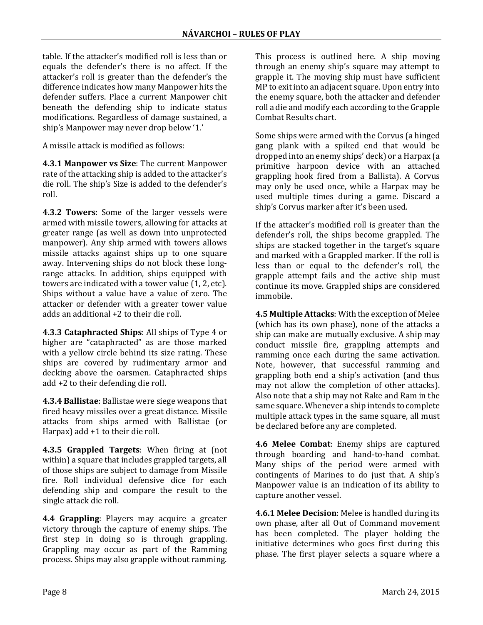table. If the attacker's modified roll is less than or equals the defender's there is no affect. If the attacker's roll is greater than the defender's the difference indicates how many Manpower hits the defender suffers. Place a current Manpower chit beneath the defending ship to indicate status modifications. Regardless of damage sustained, a ship's Manpower may never drop below '1.'

A missile attack is modified as follows:

**4.3.1 Manpower vs Size:** The current Manpower rate of the attacking ship is added to the attacker's die roll. The ship's Size is added to the defender's roll. 

**4.3.2 Towers**: Some of the larger vessels were armed with missile towers, allowing for attacks at greater range (as well as down into unprotected manpower). Any ship armed with towers allows missile attacks against ships up to one square away. Intervening ships do not block these longrange attacks. In addition, ships equipped with towers are indicated with a tower value  $(1, 2, etc).$ Ships without a value have a value of zero. The attacker or defender with a greater tower value adds an additional +2 to their die roll.

**4.3.3 Cataphracted Ships:** All ships of Type 4 or higher are "cataphracted" as are those marked with a yellow circle behind its size rating. These ships are covered by rudimentary armor and decking above the oarsmen. Cataphracted ships add  $+2$  to their defending die roll.

**4.3.4 Ballistae**: Ballistae were siege weapons that fired heavy missiles over a great distance. Missile attacks from ships armed with Ballistae (or Harpax)  $add +1$  to their die roll.

**4.3.5 Grappled Targets:** When firing at (not within) a square that includes grappled targets, all of those ships are subject to damage from Missile fire. Roll individual defensive dice for each defending ship and compare the result to the single attack die roll.

**4.4 Grappling:** Players may acquire a greater victory through the capture of enemy ships. The first step in doing so is through grappling. Grappling may occur as part of the Ramming process. Ships may also grapple without ramming. This process is outlined here. A ship moving through an enemy ship's square may attempt to grapple it. The moving ship must have sufficient MP to exit into an adjacent square. Upon entry into the enemy square, both the attacker and defender roll a die and modify each according to the Grapple Combat Results chart. 

Some ships were armed with the Corvus (a hinged gang plank with a spiked end that would be dropped into an enemy ships' deck) or a Harpax (a primitive harpoon device with an attached grappling hook fired from a Ballista). A Corvus may only be used once, while a Harpax may be used multiple times during a game. Discard a ship's Corvus marker after it's been used.

If the attacker's modified roll is greater than the defender's roll, the ships become grappled. The ships are stacked together in the target's square and marked with a Grappled marker. If the roll is less than or equal to the defender's roll, the grapple attempt fails and the active ship must continue its move. Grappled ships are considered immobile. 

**4.5 Multiple Attacks:** With the exception of Melee (which has its own phase), none of the attacks a ship can make are mutually exclusive. A ship may conduct missile fire, grappling attempts and ramming once each during the same activation. Note, however, that successful ramming and grappling both end a ship's activation (and thus may not allow the completion of other attacks). Also note that a ship may not Rake and Ram in the same square. Whenever a ship intends to complete multiple attack types in the same square, all must be declared before any are completed.

**4.6 Melee Combat**: Enemy ships are captured through boarding and hand-to-hand combat. Many ships of the period were armed with contingents of Marines to do just that. A ship's Manpower value is an indication of its ability to capture another vessel.

**4.6.1 Melee Decision**: Melee is handled during its own phase, after all Out of Command movement has been completed. The player holding the initiative determines who goes first during this phase. The first player selects a square where a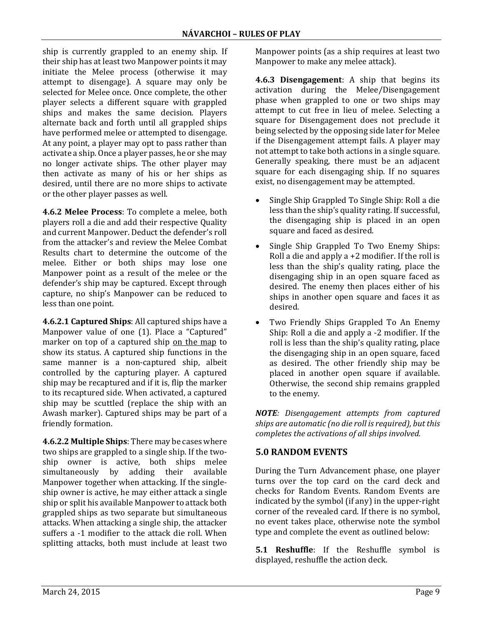ship is currently grappled to an enemy ship. If their ship has at least two Manpower points it may initiate the Melee process (otherwise it may attempt to disengage). A square may only be selected for Melee once. Once complete, the other player selects a different square with grappled ships and makes the same decision. Players alternate back and forth until all grappled ships have performed melee or attempted to disengage. At any point, a player may opt to pass rather than activate a ship. Once a player passes, he or she may no longer activate ships. The other player may then activate as many of his or her ships as desired, until there are no more ships to activate or the other player passes as well.

**4.6.2 Melee Process**: To complete a melee, both players roll a die and add their respective Ouality and current Manpower. Deduct the defender's roll from the attacker's and review the Melee Combat Results chart to determine the outcome of the melee. Either or both ships may lose one Manpower point as a result of the melee or the defender's ship may be captured. Except through capture, no ship's Manpower can be reduced to less than one point.

**4.6.2.1 Captured Ships:** All captured ships have a Manpower value of one (1). Place a "Captured" marker on top of a captured ship on the map to show its status. A captured ship functions in the same manner is a non-captured ship, albeit controlled by the capturing player. A captured ship may be recaptured and if it is, flip the marker to its recaptured side. When activated, a captured ship may be scuttled (replace the ship with an Awash marker). Captured ships may be part of a friendly formation.

**4.6.2.2 Multiple Ships:** There may be cases where two ships are grappled to a single ship. If the twoship owner is active, both ships melee simultaneously by adding their available Manpower together when attacking. If the singleship owner is active, he may either attack a single ship or split his available Manpower to attack both grappled ships as two separate but simultaneous attacks. When attacking a single ship, the attacker suffers a -1 modifier to the attack die roll. When splitting attacks, both must include at least two Manpower points (as a ship requires at least two Manpower to make any melee attack).

**4.6.3 Disengagement:** A ship that begins its activation during the Melee/Disengagement phase when grappled to one or two ships may attempt to cut free in lieu of melee. Selecting a square for Disengagement does not preclude it being selected by the opposing side later for Melee if the Disengagement attempt fails. A player may not attempt to take both actions in a single square. Generally speaking, there must be an adjacent square for each disengaging ship. If no squares exist, no disengagement may be attempted.

- Single Ship Grappled To Single Ship: Roll a die less than the ship's quality rating. If successful, the disengaging ship is placed in an open square and faced as desired.
- Single Ship Grappled To Two Enemy Ships: Roll a die and apply a  $+2$  modifier. If the roll is less than the ship's quality rating, place the disengaging ship in an open square faced as desired. The enemy then places either of his ships in another open square and faces it as desired.
- Two Friendly Ships Grappled To An Enemy Ship: Roll a die and apply a  $-2$  modifier. If the roll is less than the ship's quality rating, place the disengaging ship in an open square, faced as desired. The other friendly ship may be placed in another open square if available. Otherwise, the second ship remains grappled to the enemy.

*NOTE: Disengagement attempts from captured ships are automatic (no die roll is required), but this completes the activations of all ships involved.*

# **5.0 RANDOM EVENTS**

During the Turn Advancement phase, one player turns over the top card on the card deck and checks for Random Events. Random Events are indicated by the symbol  $(i$ f any) in the upper-right corner of the revealed card. If there is no symbol, no event takes place, otherwise note the symbol type and complete the event as outlined below:

**5.1 Reshuffle:** If the Reshuffle symbol is displayed, reshuffle the action deck.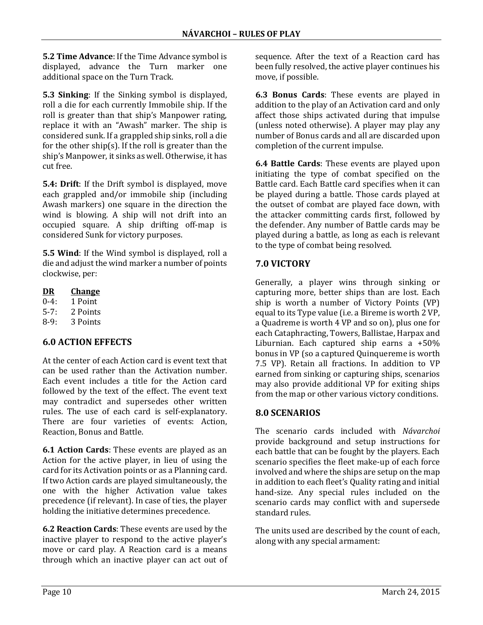**5.2 Time Advance:** If the Time Advance symbol is displayed, advance the Turn marker one additional space on the Turn Track.

**5.3 Sinking:** If the Sinking symbol is displayed, roll a die for each currently Immobile ship. If the roll is greater than that ship's Manpower rating, replace it with an "Awash" marker. The ship is considered sunk. If a grappled ship sinks, roll a die for the other ship(s). If the roll is greater than the ship's Manpower, it sinks as well. Otherwise, it has cut free.

**5.4: Drift**: If the Drift symbol is displayed, move each grappled and/or immobile ship (including Awash markers) one square in the direction the wind is blowing. A ship will not drift into an occupied square. A ship drifting off-map is considered Sunk for victory purposes.

**5.5 Wind**: If the Wind symbol is displayed, roll a die and adjust the wind marker a number of points clockwise, per:

- **DR Change**
- 0‐4: 1 Point
- 5‐7: 2 Points
- 8‐9: 3 Points

# **6.0 ACTION EFFECTS**

At the center of each Action card is event text that can be used rather than the Activation number. Each event includes a title for the Action card followed by the text of the effect. The event text may contradict and supersedes other written rules. The use of each card is self-explanatory. There are four varieties of events: Action, Reaction, Bonus and Battle.

**6.1 Action Cards:** These events are played as an Action for the active player, in lieu of using the card for its Activation points or as a Planning card. If two Action cards are played simultaneously, the one with the higher Activation value takes precedence (if relevant). In case of ties, the player holding the initiative determines precedence.

**6.2 Reaction Cards:** These events are used by the inactive player to respond to the active player's move or card play. A Reaction card is a means through which an inactive player can act out of sequence. After the text of a Reaction card has been fully resolved, the active player continues his move, if possible.

**6.3 Bonus Cards**: These events are played in addition to the play of an Activation card and only affect those ships activated during that impulse (unless noted otherwise). A player may play any number of Bonus cards and all are discarded upon completion of the current impulse.

**6.4 Battle Cards:** These events are played upon initiating the type of combat specified on the Battle card. Each Battle card specifies when it can be played during a battle. Those cards played at the outset of combat are played face down, with the attacker committing cards first, followed by the defender. Any number of Battle cards may be played during a battle, as long as each is relevant to the type of combat being resolved.

## **7.0 VICTORY**

Generally, a player wins through sinking or capturing more, better ships than are lost. Each ship is worth a number of Victory Points  $(VP)$ equal to its Type value (i.e. a Bireme is worth 2 VP, a Quadreme is worth 4 VP and so on), plus one for each Cataphracting, Towers, Ballistae, Harpax and Liburnian. Each captured ship earns a  $+50\%$ bonus in VP (so a captured Quinquereme is worth 7.5 VP). Retain all fractions. In addition to VP earned from sinking or capturing ships, scenarios may also provide additional VP for exiting ships from the map or other various victory conditions.

## **8.0 SCENARIOS**

The scenario cards included with *Návarchoi* provide background and setup instructions for each battle that can be fought by the players. Each scenario specifies the fleet make-up of each force involved and where the ships are setup on the map in addition to each fleet's Quality rating and initial hand-size. Any special rules included on the scenario cards may conflict with and supersede standard rules.

The units used are described by the count of each, along with any special armament: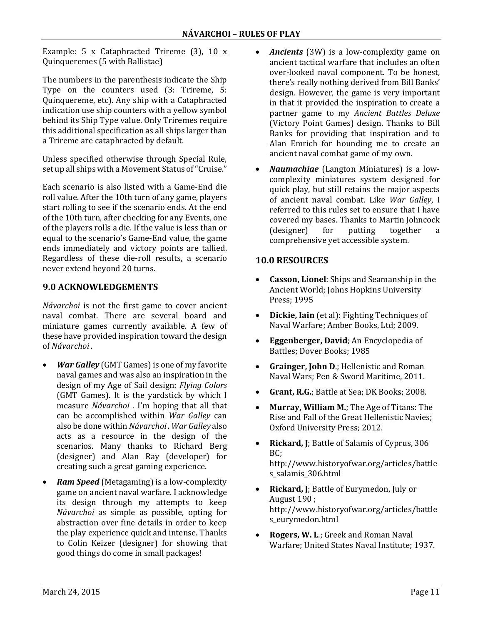Example:  $5 \times$  Cataphracted Trireme  $(3)$ ,  $10 \times$ Quinqueremes (5 with Ballistae)

The numbers in the parenthesis indicate the Ship Type on the counters used (3: Trireme, 5: Quinquereme, etc). Any ship with a Cataphracted indication use ship counters with a yellow symbol behind its Ship Type value. Only Triremes require this additional specification as all ships larger than a Trireme are cataphracted by default.

Unless specified otherwise through Special Rule, set up all ships with a Movement Status of "Cruise."

Each scenario is also listed with a Game-End die roll value. After the 10th turn of any game, players start rolling to see if the scenario ends. At the end of the 10th turn, after checking for any Events, one of the players rolls a die. If the value is less than or equal to the scenario's Game-End value, the game ends immediately and victory points are tallied. Regardless of these die-roll results, a scenario never extend beyond 20 turns.

## **9.0 ACKNOWLEDGEMENTS**

*Návarchoi* is not the first game to cover ancient naval combat. There are several board and miniature games currently available. A few of these have provided inspiration toward the design of *Návarchoi* . 

- *War Galley* (GMT Games) is one of my favorite naval games and was also an inspiration in the design of my Age of Sail design: *Flying Colors* (GMT Games). It is the yardstick by which I measure *Návarchoi* . I'm hoping that all that can be accomplished within *War Galley* can also be done within *Návarchoi* . *War Galley* also acts as a resource in the design of the scenarios. Many thanks to Richard Berg (designer) and Alan Ray (developer) for creating such a great gaming experience.
- *Ram Speed* (Metagaming) is a low-complexity game on ancient naval warfare. I acknowledge its design through my attempts to keep *Návarchoi* as simple as possible, opting for abstraction over fine details in order to keep the play experience quick and intense. Thanks to Colin Keizer (designer) for showing that good things do come in small packages!
- **Ancients** (3W) is a low-complexity game on ancient tactical warfare that includes an often over‐looked naval component. To be honest, there's really nothing derived from Bill Banks' design. However, the game is very important in that it provided the inspiration to create a partner game to my *Ancient Battles Deluxe* (Victory Point Games) design. Thanks to Bill Banks for providing that inspiration and to Alan Emrich for hounding me to create an ancient naval combat game of my own.
- Naumachiae (Langton Miniatures) is a lowcomplexity miniatures system designed for quick play, but still retains the major aspects of ancient naval combat. Like *War Galley*, I referred to this rules set to ensure that I have covered my bases. Thanks to Martin Johncock (designer) for putting together a comprehensive yet accessible system.

## **10.0 RESOURCES**

- **Casson, Lionel:** Ships and Seamanship in the Ancient World; Johns Hopkins University Press; 1995
- **Dickie, Iain** (et al): Fighting Techniques of Naval Warfare; Amber Books, Ltd; 2009.
- **Eggenberger, David**; An Encyclopedia of Battles; Dover Books; 1985
- Grainger, **John D**.; Hellenistic and Roman Naval Wars; Pen & Sword Maritime, 2011.
- **Grant, R.G.**; Battle at Sea; DK Books; 2008.
- Murray, William M.; The Age of Titans: The Rise and Fall of the Great Hellenistic Navies; Oxford University Press; 2012.
- Rickard, J; Battle of Salamis of Cyprus, 306 BC; http://www.historyofwar.org/articles/battle s\_salamis\_306.html
- Rickard, J; Battle of Eurymedon, July or August 190 ; http://www.historyofwar.org/articles/battle s\_eurymedon.html
- Rogers, W. L.; Greek and Roman Naval Warfare; United States Naval Institute; 1937.